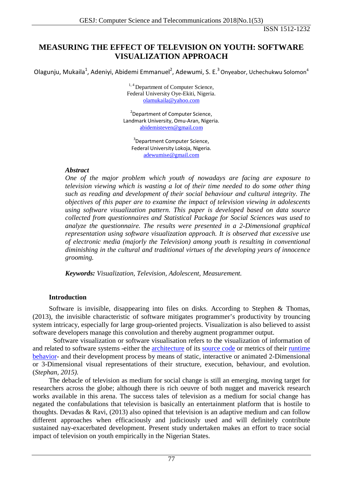# **MEASURING THE EFFECT OF TELEVISION ON YOUTH: SOFTWARE VISUALIZATION APPROACH**

Olagunju, Mukaila<sup>1</sup>, Adeniyi, Abidemi Emmanuel<sup>2</sup>, Adewumi, S. E.<sup>3</sup> Onyeabor, Uchechukwu Solomon<sup>4</sup>

 $1, 4$  Department of Computer Science, Federal University Oye-Ekiti, Nigeria. [olamukaila@yahoo.com](mailto:olamukaila@yahoo.com)

<sup>2</sup>Department of Computer Science, Landmark University, Omu-Aran, Nigeria. [abidemisteven@gmail.com](mailto:abidemisteven@gmail.com)

<sup>3</sup>Department Computer Science, Federal University Lokoja, Nigeria. [adewumise@gmail.com](mailto:adewumise@gmail.com)

# *Abstract*

*One of the major problem which youth of nowadays are facing are exposure to television viewing which is wasting a lot of their time needed to do some other thing such as reading and development of their social behaviour and cultural integrity. The objectives of this paper are to examine the impact of television viewing in adolescents using software visualization pattern. This paper is developed based on data source collected from questionnaires and Statistical Package for Social Sciences was used to analyze the questionnaire. The results were presented in a 2-Dimensional graphical representation using software visualization approach. It is observed that excessive use of electronic media (majorly the Television) among youth is resulting in conventional diminishing in the cultural and traditional virtues of the developing years of innocence grooming.* 

*Keywords: Visualization, Television, Adolescent, Measurement.*

# **Introduction**

Software is invisible, disappearing into files on disks. According to Stephen & Thomas, (2013), the invisible characteristic of software mitigates programmer's productivity by trouncing system intricacy, especially for large group-oriented projects. Visualization is also believed to assist software developers manage this convolution and thereby augment programmer output.

Software visualization or software visualisation refers to the visualization of information of and related to software systems -either the [architecture](https://en.wikipedia.org/wiki/Software_architecture) of its [source code](https://en.wikipedia.org/wiki/Source_code) or metrics of their [runtime](https://en.wikipedia.org/wiki/Run_time_%28program_lifecycle_phase%29)  [behavior-](https://en.wikipedia.org/wiki/Run_time_%28program_lifecycle_phase%29) and their development process by means of static, interactive or animated 2-Dimensional or 3-Dimensional visual representations of their structure, execution, behaviour, and evolution. (*Stephan, 2015)*.

The debacle of television as medium for social change is still an emerging, moving target for researchers across the globe; although there is rich oeuvre of both nugget and maverick research works available in this arena. The success tales of television as a medium for social change has negated the confabulations that television is basically an entertainment platform that is hostile to thoughts. Devadas & Ravi, (2013) also opined that television is an adaptive medium and can follow different approaches when efficaciously and judiciously used and will definitely contribute sustained nay-exacerbated development. Present study undertaken makes an effort to trace social impact of television on youth empirically in the Nigerian States.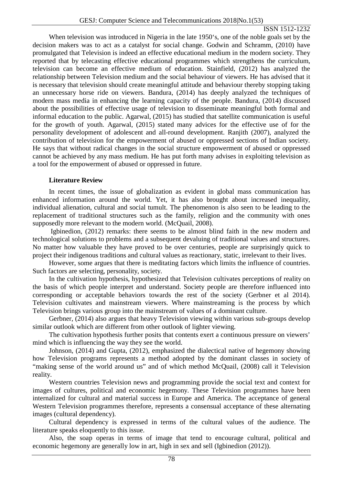When television was introduced in Nigeria in the late 1950's, one of the noble goals set by the decision makers was to act as a catalyst for social change. Godwin and Schramm, (2010) have promulgated that Television is indeed an effective educational medium in the modern society. They reported that by telecasting effective educational programmes which strengthens the curriculum, television can become an effective medium of education. Stainfield, (2012) has analyzed the relationship between Television medium and the social behaviour of viewers. He has advised that it is necessary that television should create meaningful attitude and behaviour thereby stopping taking an unnecessary horse ride on viewers. Bandura, (2014) has deeply analyzed the techniques of modern mass media in enhancing the learning capacity of the people. Bandura, (2014) discussed about the possibilities of effective usage of television to disseminate meaningful both formal and informal education to the public. Agarwal, (2015) has studied that satellite communication is useful for the growth of youth. Agarwal, (2015) stated many advices for the effective use of for the personality development of adolescent and all-round development. Ranjith (2007), analyzed the contribution of television for the empowerment of abused or oppressed sections of Indian society. He says that without radical changes in the social structure empowerment of abused or oppressed cannot be achieved by any mass medium. He has put forth many advises in exploiting television as a tool for the empowerment of abused or oppressed in future.

#### **Literature Review**

In recent times, the issue of globalization as evident in global mass communication has enhanced information around the world. Yet, it has also brought about increased inequality, individual alienation, cultural and social tumult. The phenomenon is also seen to be leading to the replacement of traditional structures such as the family, religion and the community with ones supposedly more relevant to the modern world. (McQuail, 2008).

Igbinedion, (2012) remarks: there seems to be almost blind faith in the new modern and technological solutions to problems and a subsequent devaluing of traditional values and structures. No matter how valuable they have proved to be over centuries, people are surprisingly quick to project their indigenous traditions and cultural values as reactionary, static, irrelevant to their lives.

However, some argues that there is meditating factors which limits the influence of countries. Such factors are selecting, personality, society.

In the cultivation hypothesis, hypothesized that Television cultivates perceptions of reality on the basis of which people interpret and understand. Society people are therefore influenced into corresponding or acceptable behaviors towards the rest of the society (Gerbner et al 2014). Television cultivates and mainstream viewers. Where mainstreaming is the process by which Television brings various group into the mainstream of values of a dominant culture.

Gerbner, (2014) also argues that heavy Television viewing within various sub-groups develop similar outlook which are different from other outlook of lighter viewing.

The cultivation hypothesis further posits that contents exert a continuous pressure on viewers' mind which is influencing the way they see the world.

Johnson, (2014) and Gupta, (2012), emphasized the dialectical native of hegemony showing how Television programs represents a method adopted by the dominant classes in society of "making sense of the world around us" and of which method McQuail, (2008) call it Television reality.

Western countries Television news and programming provide the social text and context for images of cultures, political and economic hegemony. These Television programmes have been internalized for cultural and material success in Europe and America. The acceptance of general Western Television programmes therefore, represents a consensual acceptance of these alternating images (cultural dependency).

Cultural dependency is expressed in terms of the cultural values of the audience. The literature speaks eloquently to this issue.

Also, the soap operas in terms of image that tend to encourage cultural, political and economic hegemony are generally low in art, high in sex and sell (Igbinedion (2012)).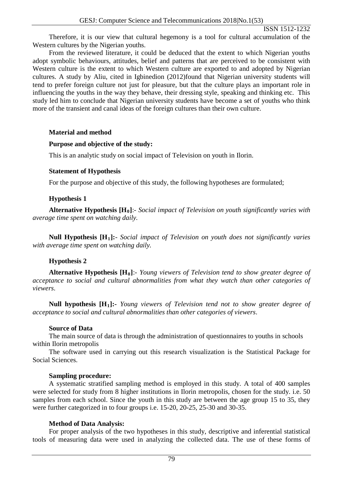Therefore, it is our view that cultural hegemony is a tool for cultural accumulation of the Western cultures by the Nigerian youths.

From the reviewed literature, it could be deduced that the extent to which Nigerian youths adopt symbolic behaviours, attitudes, belief and patterns that are perceived to be consistent with Western culture is the extent to which Western culture are exported to and adopted by Nigerian cultures. A study by Aliu, cited in Igbinedion (2012)found that Nigerian university students will tend to prefer foreign culture not just for pleasure, but that the culture plays an important role in influencing the youths in the way they behave, their dressing style, speaking and thinking etc. This study led him to conclude that Nigerian university students have become a set of youths who think more of the transient and canal ideas of the foreign cultures than their own culture.

# **Material and method**

## **Purpose and objective of the study:**

This is an analytic study on social impact of Television on youth in Ilorin.

## **Statement of Hypothesis**

For the purpose and objective of this study, the following hypotheses are formulated;

## **Hypothesis 1**

**Alternative Hypothesis [H0]**:- *Social impact of Television on youth significantly varies with average time spent on watching daily.* 

**Null Hypothesis [H1]:**- *Social impact of Television on youth does not significantly varies with average time spent on watching daily.* 

# **Hypothesis 2**

Alternative Hypothesis [H<sub>0</sub>]:- *Young viewers of Television tend to show greater degree of acceptance to social and cultural abnormalities from what they watch than other categories of viewers*.

**Null hypothesis [H1]:-** *Young viewers of Television tend not to show greater degree of acceptance to social and cultural abnormalities than other categories of viewers*.

#### **Source of Data**

The main source of data is through the administration of questionnaires to youths in schools within Ilorin metropolis

The software used in carrying out this research visualization is the Statistical Package for Social Sciences.

#### **Sampling procedure:**

A systematic stratified sampling method is employed in this study. A total of 400 samples were selected for study from 8 higher institutions in Ilorin metropolis, chosen for the study. i.e. 50 samples from each school. Since the youth in this study are between the age group 15 to 35, they were further categorized in to four groups i.e. 15-20, 20-25, 25-30 and 30-35.

#### **Method of Data Analysis:**

For proper analysis of the two hypotheses in this study, descriptive and inferential statistical tools of measuring data were used in analyzing the collected data. The use of these forms of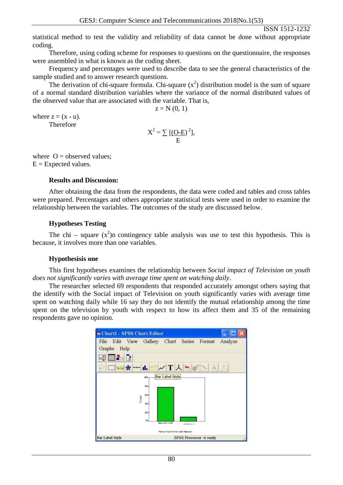statistical method to test the validity and reliability of data cannot be done without appropriate coding.

Therefore, using coding scheme for responses to questions on the questionnaire, the responses were assembled in what is known as the coding sheet.

Frequency and percentages were used to describe data to see the general characteristics of the sample studied and to answer research questions.

The derivation of chi-square formula. Chi-square  $(x^2)$  distribution model is the sum of square of a normal standard distribution variables where the variance of the normal distributed values of the observed value that are associated with the variable. That is,

$$
z = N(0, 1)
$$

where  $z = (x - u)$ . Therefore

$$
X^2 = \sum \left[ \underline{(O-E)}^2 \right],
$$

where  $O =$  observed values;  $E =$  Expected values.

#### **Results and Discussion:**

After obtaining the data from the respondents, the data were coded and tables and cross tables were prepared. Percentages and others appropriate statistical tests were used in order to examine the relationship between the variables. The outcomes of the study are discussed below.

#### **Hypotheses Testing**

The chi – square  $(x^2)$ n contingency table analysis was use to test this hypothesis. This is because, it involves more than one variables.

#### **Hypothesisis one**

This first hypotheses examines the relationship between *Social impact of Television on youth does not significantly varies with average time spent on watching daily*.

The researcher selected 69 respondents that responded accurately amongst others saying that the identify with the Social impact of Television on youth significantly varies with average time spent on watching daily while 16 say they do not identify the mutual relationship among the time spent on the television by youth with respect to how its affect them and 35 of the remaining respondents gave no opinion.

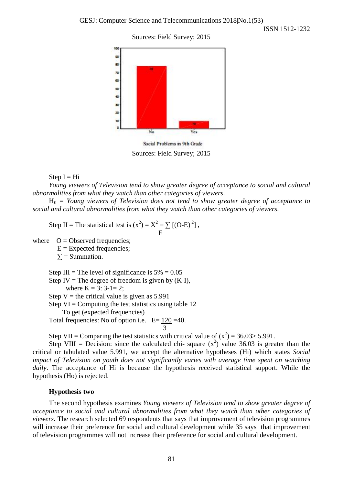#### Sources: Field Survey; 2015



Sources: Field Survey; 2015

Step  $I = Hi$ 

*Young viewers of Television tend to show greater degree of acceptance to social and cultural abnormalities from what they watch than other categories of viewers*.

 $H_0 =$  *Young viewers of Television does not tend to show greater degree of acceptance to social and cultural abnormalities from what they watch than other categories of viewers*.

Step II = The statistical test is  $(x^2) = X^2 = \sum [(O-E)^2]$ , Experience of the state of the state of the state of the state of the state of the state of the state of the s

where  $O = Observed frequencies;$ 

 $E =$  Expected frequencies;

 $\Sigma$  = Summation.

Step III = The level of significance is  $5\% = 0.05$ 

Step IV = The degree of freedom is given by  $(K-I)$ ,

where  $K = 3: 3-1= 2;$ 

Step  $V =$  the critical value is given as 5.991

Step  $VI =$  Computing the test statistics using table 12

To get (expected frequencies)

Total frequencies: No of option i.e.  $E = 120 = 40$ . 3

Step VII = Comparing the test statistics with critical value of  $(x^2)$  = 36.03> 5.991.

Step VIII = Decision: since the calculated chi- square  $(x^2)$  value 36.03 is greater than the critical or tabulated value 5.991, we accept the alternative hypotheses (Hi) which states *Social impact of Television on youth does not significantly varies with average time spent on watching daily*. The acceptance of Hi is because the hypothesis received statistical support. While the hypothesis (Ho) is rejected.

# **Hypothesis two**

The second hypothesis examines *Young viewers of Television tend to show greater degree of acceptance to social and cultural abnormalities from what they watch than other categories of viewers*. The research selected 69 respondents that says that improvement of television programmes will increase their preference for social and cultural development while 35 says that improvement of television programmes will not increase their preference for social and cultural development.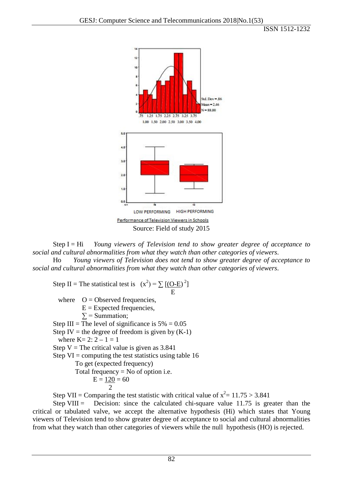

Step I = Hi *Young viewers of Television tend to show greater degree of acceptance to social and cultural abnormalities from what they watch than other categories of viewers*.

Ho *Young viewers of Television does not tend to show greater degree of acceptance to social and cultural abnormalities from what they watch than other categories of viewers*.

Step II = The statistical test is  $(x^2) = \sum [(O-E)^2]$ Experience of the control of the state of the state of the state of the state of the state of the state of the

where  $O = Observed frequencies$ ,  $E =$  Expected frequencies,  $\Sigma$  = Summation;

Step III = The level of significance is  $5\% = 0.05$ 

Step IV = the degree of freedom is given by  $(K-1)$ 

where  $K = 2: 2 - 1 = 1$ 

Step  $V =$  The critical value is given as 3.841

Step  $VI =$  computing the test statistics using table 16 To get (expected frequency)

Total frequency  $=$  No of option i.e.  $E = 120 = 60$ 

$$
\frac{1}{2}
$$

Step VII = Comparing the test statistic with critical value of  $x^2 = 11.75 > 3.841$ 

Step VIII = Decision: since the calculated chi-square value 11.75 is greater than the critical or tabulated valve, we accept the alternative hypothesis (Hi) which states that Young viewers of Television tend to show greater degree of acceptance to social and cultural abnormalities from what they watch than other categories of viewers while the null hypothesis (HO) is rejected.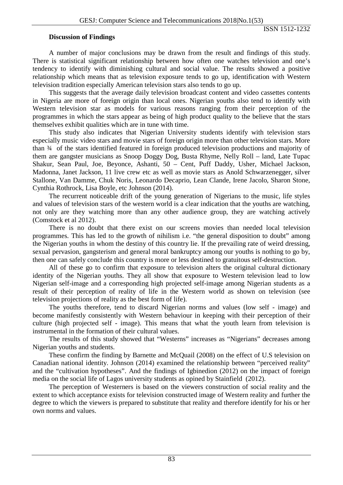#### **Discussion of Findings**

A number of major conclusions may be drawn from the result and findings of this study. There is statistical significant relationship between how often one watches television and one's tendency to identify with diminishing cultural and social value. The results showed a positive relationship which means that as television exposure tends to go up, identification with Western television tradition especially American television stars also tends to go up.

This suggests that the average daily television broadcast content and video cassettes contents in Nigeria are more of foreign origin than local ones. Nigerian youths also tend to identify with Western television star as models for various reasons ranging from their perception of the programmes in which the stars appear as being of high product quality to the believe that the stars themselves exhibit qualities which are in tune with time.

This study also indicates that Nigerian University students identify with television stars especially music video stars and movie stars of foreign origin more than other television stars. More than ¾ of the stars identified featured in foreign produced television productions and majority of them are gangster musicians as Snoop Doggy Dog, Busta Rhyme, Nelly Roll – land, Late Tupac Shakur, Sean Paul, Joe, Beyonce, Ashanti, 50 – Cent, Puff Daddy, Usher, Michael Jackson, Madonna, Janet Jackson, 11 live crew etc as well as movie stars as Anold Schwarzenegger, silver Stallone, Van Damme, Chuk Noris, Leonardo Decaprio, Lean Clande, Irene Jacolo, Sharon Stone, Cynthia Rothrock, Lisa Boyle, etc Johnson (2014).

The recurrent noticeable drift of the young generation of Nigerians to the music, life styles and values of television stars of the western world is a clear indication that the youths are watching, not only are they watching more than any other audience group, they are watching actively (Comstock et al 2012).

There is no doubt that there exist on our screens movies than needed local television programmes. This has led to the growth of nihilism i.e. "the general disposition to doubt" among the Nigerian youths in whom the destiny of this country lie. If the prevailing rate of weird dressing, sexual pervasion, gangsterism and general moral bankruptcy among our youths is nothing to go by, then one can safely conclude this country is more or less destined to gratuitous self-destruction.

All of these go to confirm that exposure to television alters the original cultural dictionary identity of the Nigerian youths. They all show that exposure to Western television lead to low Nigerian self-image and a corresponding high projected self-image among Nigerian students as a result of their perception of reality of life in the Western world as shown on television (see television projections of reality as the best form of life).

The youths therefore, tend to discard Nigerian norms and values (low self - image) and become manifestly consistently with Western behaviour in keeping with their perception of their culture (high projected self - image). This means that what the youth learn from television is instrumental in the formation of their cultural values.

The results of this study showed that "Westerns" increases as "Nigerians" decreases among Nigerian youths and students.

These confirm the finding by Barnette and McQuail (2008) on the effect of U.S television on Canadian national identity. Johnson (2014) examined the relationship between "perceived reality" and the "cultivation hypotheses". And the findings of Igbinedion (2012) on the impact of foreign media on the social life of Lagos university students as opined by Stainfield (2012).

The perception of Westerners is based on the viewers construction of social reality and the extent to which acceptance exists for television constructed image of Western reality and further the degree to which the viewers is prepared to substitute that reality and therefore identify for his or her own norms and values.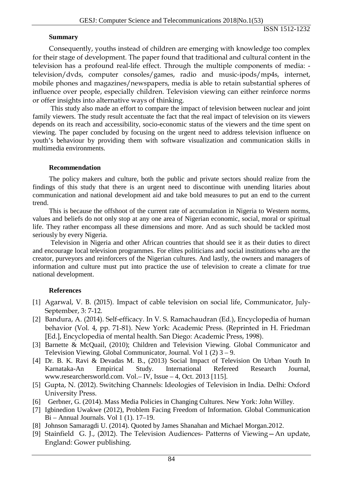#### **Summary**

Consequently, youths instead of children are emerging with knowledge too complex for their stage of development. The paper found that traditional and cultural content in the television has a profound real-life effect. Through the multiple components of media: television/dvds, computer consoles/games, radio and music-ipods/mp4s, internet, mobile phones and magazines/newspapers, media is able to retain substantial spheres of influence over people, especially children. Television viewing can either reinforce norms or offer insights into alternative ways of thinking.

This study also made an effort to compare the impact of television between nuclear and joint family viewers. The study result accentuate the fact that the real impact of television on its viewers depends on its reach and accessibility, socio-economic status of the viewers and the time spent on viewing. The paper concluded by focusing on the urgent need to address television influence on youth's behaviour by providing them with software visualization and communication skills in multimedia environments.

## **Recommendation**

The policy makers and culture, both the public and private sectors should realize from the findings of this study that there is an urgent need to discontinue with unending litaries about communication and national development aid and take bold measures to put an end to the current trend.

This is because the offshoot of the current rate of accumulation in Nigeria to Western norms, values and beliefs do not only stop at any one area of Nigerian economic, social, moral or spiritual life. They rather encompass all these dimensions and more. And as such should be tackled most seriously by every Nigeria.

Television in Nigeria and other African countries that should see it as their duties to direct and encourage local television programmes. For elites politicians and social institutions who are the creator, purveyors and reinforcers of the Nigerian cultures. And lastly, the owners and managers of information and culture must put into practice the use of television to create a climate for true national development.

# **References**

- [1] Agarwal, V. B. (2015). Impact of cable television on social life, Communicator, July-September, 3: 7-12.
- [2] Bandura, A. (2014). Self-efficacy. In V. S. Ramachaudran (Ed.), Encyclopedia of human behavior (Vol. 4, pp. 71-81). New York: Academic Press. (Reprinted in H. Friedman [Ed.], Encyclopedia of mental health. San Diego: Academic Press, 1998).
- [3] Barnette & McQuail, (2010); Children and Television Viewing. Global Communicator and Television Viewing. Global Communicator, Journal. Vol 1 (2) 3 – 9.
- [4] Dr. B. K. Ravi & Devadas M. B., (2013) Social Impact of Television On Urban Youth In Karnataka-An Empirical Study. International Refereed Research Journal, www.researchersworld.com. Vol.– IV, Issue – 4, Oct. 2013 [115].
- [5] Gupta, N. (2012). Switching Channels: Ideologies of Television in India. Delhi: Oxford University Press.
- [6] Gerbner, G. (2014). Mass Media Policies in Changing Cultures. New York: John Willey.
- [7] Igbinedion Uwakwe (2012), Problem Facing Freedom of Information. Global Communication Bi – Annual Journals. Vol 1 (1). 17–19.
- [8] Johnson Samaragdi U. (2014). Quoted by James Shanahan and Michael Morgan.2012.
- [9] Stainfield G. J., (2012). The Television Audiences- Patterns of Viewing—An update, England: Gower publishing.